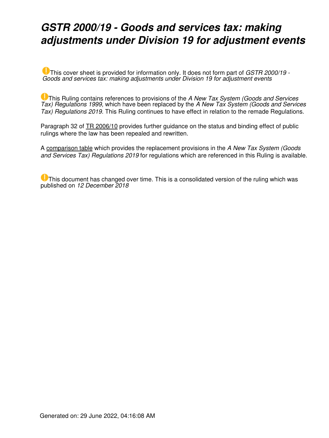## *GSTR 2000/19 - Goods and services tax: making adjustments under Division 19 for adjustment events*

This cover sheet is provided for information only. It does not form part of *GSTR 2000/19 - Goods and services tax: making adjustments under Division 19 for adjustment events*

This Ruling contains references to provisions of the *A New Tax System (Goods and Services Tax) Regulations 1999,* which have been replaced by the *A New Tax System (Goods and Services Tax) Regulations 2019.* This Ruling continues to have effect in relation to the remade Regulations.

Paragraph 32 of [TR 2006/10](https://www.ato.gov.au/law/view/document?LocID=%22TXR%2FTR200610%2FNAT%2FATO%22&PiT=20181212000001) provides further guidance on the status and binding effect of public rulings where the law has been repealed and rewritten.

A [comparison table](https://www.ato.gov.au/law/view/document?LocID=%22GXR%2Ffind_regs%22&PiT=20181212000001) which provides the replacement provisions in the *A New Tax System (Goods and Services Tax) Regulations 2019* for regulations which are referenced in this Ruling is available.

**U** This document has changed over time. This is a consolidated version of the ruling which was published on *12 December 2018*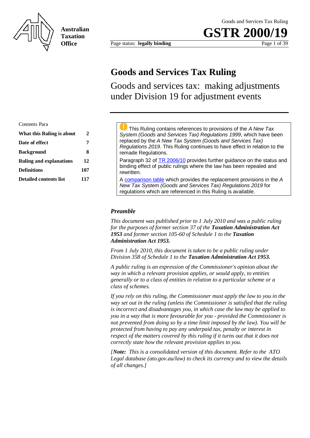

**Australian Taxation Office**

Page status: **legally binding** Page 1 of 39

**GSTR 200** 

### **Goods and Services Tax Ruling**

Goods and services tax: making adjustments under Division 19 for adjustment events

| Contents Para                  |     |
|--------------------------------|-----|
| What this Ruling is about      | 2   |
| Date of effect                 |     |
| <b>Background</b>              | 8   |
| <b>Ruling and explanations</b> | 12  |
| <b>Definitions</b>             | 107 |
| <b>Detailed contents list</b>  | 117 |

 This Ruling contains references to provisions of the *A New Tax System (Goods and Services Tax) Regulations 1999*, which have been replaced by the *A New Tax System (Goods and Services Tax) Regulations 2019*. This Ruling continues to have effect in relation to the remade Regulations. Paragraph 32 of TR 2006/10 provides further guidance on the status and binding effect of public rulings where the law has been repealed and rewritten. A comparison table which provides the replacement provisions in the *A New Tax System (Goods and Services Tax) Regulations 2019* for regulations which are referenced in this Ruling is available.

#### *Preamble*

*This document was published prior to 1 July 2010 and was a public ruling for the purposes of former section 37 of the Taxation Administration Act 1953 and former section 105-60 of Schedule 1 to the Taxation Administration Act 1953.*

*From 1 July 2010, this document is taken to be a public ruling under Division 358 of Schedule 1 to the Taxation Administration Act 1953.*

*A public ruling is an expression of the Commissioner's opinion about the way in which a relevant provision applies, or would apply, to entities generally or to a class of entities in relation to a particular scheme or a class of schemes.* 

*If you rely on this ruling, the Commissioner must apply the law to you in the way set out in the ruling (unless the Commissioner is satisfied that the ruling is incorrect and disadvantages you, in which case the law may be applied to you in a way that is more favourable for you - provided the Commissioner is not prevented from doing so by a time limit imposed by the law). You will be protected from having to pay any underpaid tax, penalty or interest in respect of the matters covered by this ruling if it turns out that it does not correctly state how the relevant provision applies to you.* 

*[Note: This is a consolidated version of this document. Refer to the ATO Legal database (ato.gov.au/law) to check its currency and to view the details of all changes.]*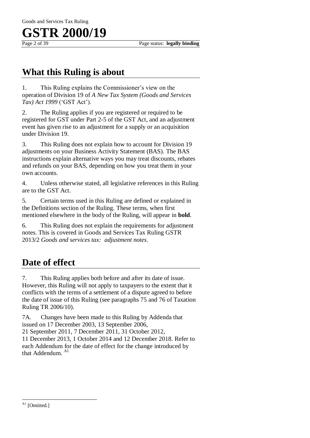### **What this Ruling is about**

1. This Ruling explains the Commissioner's view on the operation of Division 19 of *A New Tax System (Goods and Services Tax) Act 1999* ('GST Act').

2. The Ruling applies if you are registered or required to be registered for GST under Part 2-5 of the GST Act, and an adjustment event has given rise to an adjustment for a supply or an acquisition under Division 19.

3. This Ruling does not explain how to account for Division 19 adjustments on your Business Activity Statement (BAS). The BAS instructions explain alternative ways you may treat discounts, rebates and refunds on your BAS, depending on how you treat them in your own accounts.

4. Unless otherwise stated, all legislative references in this Ruling are to the GST Act.

5. Certain terms used in this Ruling are defined or explained in the Definitions section of the Ruling. These terms, when first mentioned elsewhere in the body of the Ruling, will appear in **bold**.

6. This Ruling does not explain the requirements for adjustment notes. This is covered in Goods and Services Tax Ruling GSTR 2013/2 *Goods and services tax: adjustment notes*.

## **Date of effect**

7. This Ruling applies both before and after its date of issue. However, this Ruling will not apply to taxpayers to the extent that it conflicts with the terms of a settlement of a dispute agreed to before the date of issue of this Ruling (see paragraphs 75 and 76 of Taxation Ruling TR 2006/10).

7A. Changes have been made to this Ruling by Addenda that issued on 17 December 2003, 13 September 2006,

21 September 2011, 7 December 2011, 31 October 2012, 11 December 2013, 1 October 2014 and 12 December 2018. Refer to each Addendum for the date of effect for the change introduced by that Addendum. A1

 $\overline{a}$ 

 $A1$  [Omitted.]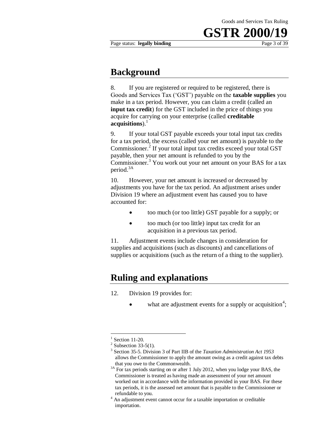#### Page status: **legally binding** Page 3 of 39

### **Background**

8. If you are registered or required to be registered, there is Goods and Services Tax ('GST') payable on the **taxable supplies** you make in a tax period. However, you can claim a credit (called an **input tax credit**) for the GST included in the price of things you acquire for carrying on your enterprise (called **creditable**  acquisitions).<sup>1</sup>

9. If your total GST payable exceeds your total input tax credits for a tax period, the excess (called your net amount) is payable to the Commissioner.<sup>2</sup> If your total input tax credits exceed your total GST payable, then your net amount is refunded to you by the Commissioner.<sup>3</sup> You work out your net amount on your BAS for a tax period.3A

10. However, your net amount is increased or decreased by adjustments you have for the tax period. An adjustment arises under Division 19 where an adjustment event has caused you to have accounted for:

- too much (or too little) GST payable for a supply; or
- too much (or too little) input tax credit for an acquisition in a previous tax period.

11. Adjustment events include changes in consideration for supplies and acquisitions (such as discounts) and cancellations of supplies or acquisitions (such as the return of a thing to the supplier).

### **Ruling and explanations**

- 12. Division 19 provides for:
	- $\bullet$  what are adjustment events for a supply or acquisition<sup>4</sup>;

<u>.</u>

<sup>1</sup> Section 11-20.

 $2$  Subsection 33-5(1).

<sup>3</sup> Section 35-5. Division 3 of Part IIB of the *Taxation Administration Act 1953*  allows the Commissioner to apply the amount owing as a credit against tax debts that you owe to the Commonwealth.

<sup>&</sup>lt;sup>3A</sup> For tax periods starting on or after 1 July 2012, when you lodge your BAS, the Commissioner is treated as having made an assessment of your net amount worked out in accordance with the information provided in your BAS. For these tax periods, it is the assessed net amount that is payable to the Commissioner or refundable to you.

<sup>&</sup>lt;sup>4</sup> An adjustment event cannot occur for a taxable importation or creditable importation.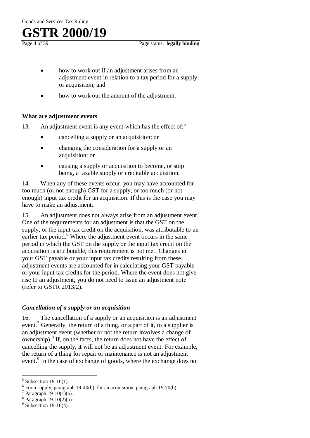- how to work out if an adjustment arises from an adjustment event in relation to a tax period for a supply or acquisition; and
- how to work out the amount of the adjustment.

#### **What are adjustment events**

- 13. An adjustment event is any event which has the effect of: $5<sup>5</sup>$ 
	- cancelling a supply or an acquisition; or
	- changing the consideration for a supply or an acquisition; or
	- causing a supply or acquisition to become, or stop being, a taxable supply or creditable acquisition.

14. When any of these events occur, you may have accounted for too much (or not enough) GST for a supply, or too much (or not enough) input tax credit for an acquisition. If this is the case you may have to make an adjustment.

15. An adjustment does not always arise from an adjustment event. One of the requirements for an adjustment is that the GST on the supply, or the input tax credit on the acquisition, was attributable to an earlier tax period. $<sup>6</sup>$  Where the adjustment event occurs in the same</sup> period in which the GST on the supply or the input tax credit on the acquisition is attributable, this requirement is not met. Changes in your GST payable or your input tax credits resulting from these adjustment events are accounted for in calculating your GST payable or your input tax credits for the period. Where the event does not give rise to an adjustment, you do not need to issue an adjustment note (refer to GSTR 2013/2).

#### *Cancellation of a supply or an acquisition*

16. The cancellation of a supply or an acquisition is an adjustment event.<sup>7</sup> Generally, the return of a thing, or a part of it, to a supplier is an adjustment event (whether or not the return involves a change of ownership).<sup>8</sup> If, on the facts, the return does not have the effect of cancelling the supply, it will not be an adjustment event. For example, the return of a thing for repair or maintenance is not an adjustment event.<sup>9</sup> In the case of exchange of goods, where the exchange does not

 $\overline{a}$ 

 $5$  Subsection 19-10(1).

 $6$  For a supply, paragraph 19-40(b); for an acquisition, paragraph 19-70(b).

 $7$  Paragraph 19-10(1)(a).

<sup>8</sup> Paragraph 19-10(2)(a).

 $9$  Subsection 19-10(4).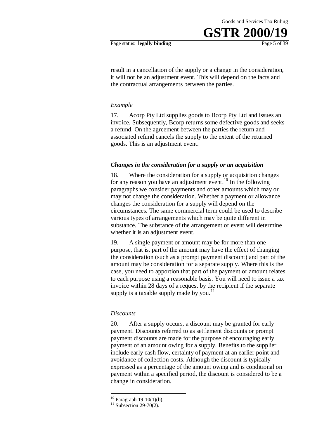#### Page status: **legally binding** Page 5 of 39

result in a cancellation of the supply or a change in the consideration, it will not be an adjustment event. This will depend on the facts and the contractual arrangements between the parties.

#### *Example*

17. Acorp Pty Ltd supplies goods to Bcorp Pty Ltd and issues an invoice. Subsequently, Bcorp returns some defective goods and seeks a refund. On the agreement between the parties the return and associated refund cancels the supply to the extent of the returned goods. This is an adjustment event.

#### *Changes in the consideration for a supply or an acquisition*

18. Where the consideration for a supply or acquisition changes for any reason you have an adjustment event.<sup>10</sup> In the following paragraphs we consider payments and other amounts which may or may not change the consideration. Whether a payment or allowance changes the consideration for a supply will depend on the circumstances. The same commercial term could be used to describe various types of arrangements which may be quite different in substance. The substance of the arrangement or event will determine whether it is an adjustment event.

19. A single payment or amount may be for more than one purpose, that is, part of the amount may have the effect of changing the consideration (such as a prompt payment discount) and part of the amount may be consideration for a separate supply. Where this is the case, you need to apportion that part of the payment or amount relates to each purpose using a reasonable basis. You will need to issue a tax invoice within 28 days of a request by the recipient if the separate supply is a taxable supply made by you.<sup>11</sup>

#### *Discounts*

20. After a supply occurs, a discount may be granted for early payment. Discounts referred to as settlement discounts or prompt payment discounts are made for the purpose of encouraging early payment of an amount owing for a supply. Benefits to the supplier include early cash flow, certainty of payment at an earlier point and avoidance of collection costs. Although the discount is typically expressed as a percentage of the amount owing and is conditional on payment within a specified period, the discount is considered to be a change in consideration.

1

 $10$  Paragraph 19-10(1)(b).

 $11$  Subsection 29-70(2).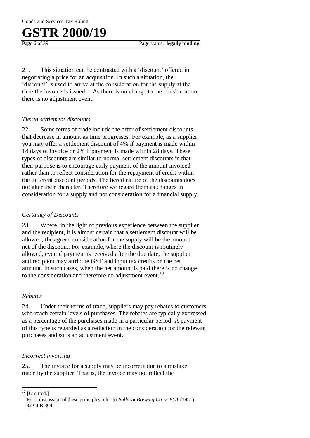Goods and Services Tax Ruling

## **GSTR 2000/19**

Page 6 of 39 Page status: **legally binding** 

21. This situation can be contrasted with a 'discount' offered in negotiating a price for an acquisition. In such a situation, the 'discount' is used to arrive at the consideration for the supply at the time the invoice is issued. As there is no change to the consideration, there is no adjustment event.

#### *Tiered settlement discounts*

22. Some terms of trade include the offer of settlement discounts that decrease in amount as time progresses. For example, as a supplier, you may offer a settlement discount of 4% if payment is made within 14 days of invoice or 2% if payment is made within 28 days. These types of discounts are similar to normal settlement discounts in that their purpose is to encourage early payment of the amount invoiced rather than to reflect consideration for the repayment of credit within the different discount periods. The tiered nature of the discounts does not alter their character. Therefore we regard them as changes in consideration for a supply and not consideration for a financial supply.

#### *Certainty of Discounts*

23. Where, in the light of previous experience between the supplier and the recipient, it is almost certain that a settlement discount will be allowed, the agreed consideration for the supply will be the amount net of the discount. For example, where the discount is routinely allowed, even if payment is received after the due date, the supplier and recipient may attribute GST and input tax credits on the net amount. In such cases, when the net amount is paid there is no change to the consideration and therefore no adjustment event.<sup>13</sup>

#### *Rebates*

24. Under their terms of trade, suppliers may pay rebates to customers who reach certain levels of purchases. The rebates are typically expressed as a percentage of the purchases made in a particular period. A payment of this type is regarded as a reduction in the consideration for the relevant purchases and so is an adjustment event.

#### *Incorrect invoicing*

25. The invoice for a supply may be incorrect due to a mistake made by the supplier. That is, the invoice may not reflect the

 $\overline{a}$ 

 $12$  [Omitted.]

<sup>&</sup>lt;sup>13</sup> For a discussion of these principles refer to *Ballarat Brewing Co. v. FCT* (1951) 82 CLR 364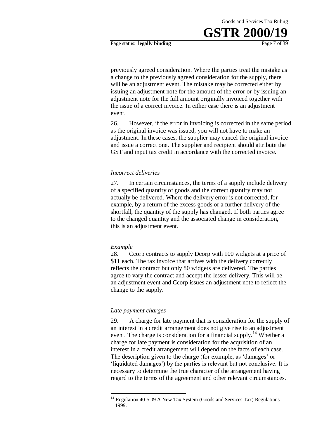Page status: **legally binding** Page 7 of 39

previously agreed consideration. Where the parties treat the mistake as a change to the previously agreed consideration for the supply, there will be an adjustment event. The mistake may be corrected either by issuing an adjustment note for the amount of the error or by issuing an adjustment note for the full amount originally invoiced together with the issue of a correct invoice. In either case there is an adjustment event.

26. However, if the error in invoicing is corrected in the same period as the original invoice was issued, you will not have to make an adjustment. In these cases, the supplier may cancel the original invoice and issue a correct one. The supplier and recipient should attribute the GST and input tax credit in accordance with the corrected invoice.

#### *Incorrect deliveries*

27. In certain circumstances, the terms of a supply include delivery of a specified quantity of goods and the correct quantity may not actually be delivered. Where the delivery error is not corrected, for example, by a return of the excess goods or a further delivery of the shortfall, the quantity of the supply has changed. If both parties agree to the changed quantity and the associated change in consideration, this is an adjustment event.

#### *Example*

1

28. Ccorp contracts to supply Dcorp with 100 widgets at a price of \$11 each. The tax invoice that arrives with the delivery correctly reflects the contract but only 80 widgets are delivered. The parties agree to vary the contract and accept the lesser delivery. This will be an adjustment event and Ccorp issues an adjustment note to reflect the change to the supply.

#### *Late payment charges*

29. A charge for late payment that is consideration for the supply of an interest in a credit arrangement does not give rise to an adjustment event. The charge is consideration for a financial supply.<sup>14</sup> Whether a charge for late payment is consideration for the acquisition of an interest in a credit arrangement will depend on the facts of each case. The description given to the charge (for example, as 'damages' or 'liquidated damages') by the parties is relevant but not conclusive. It is necessary to determine the true character of the arrangement having regard to the terms of the agreement and other relevant circumstances.

 $14$  Regulation 40-5.09 A New Tax System (Goods and Services Tax) Regulations 1999.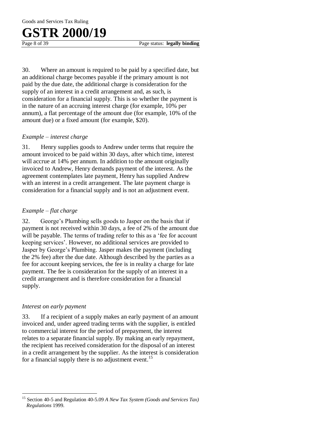30. Where an amount is required to be paid by a specified date, but an additional charge becomes payable if the primary amount is not paid by the due date, the additional charge is consideration for the supply of an interest in a credit arrangement and, as such, is consideration for a financial supply. This is so whether the payment is in the nature of an accruing interest charge (for example, 10% per annum), a flat percentage of the amount due (for example, 10% of the amount due) or a fixed amount (for example, \$20).

#### *Example – interest charge*

31. Henry supplies goods to Andrew under terms that require the amount invoiced to be paid within 30 days, after which time, interest will accrue at 14% per annum. In addition to the amount originally invoiced to Andrew, Henry demands payment of the interest. As the agreement contemplates late payment, Henry has supplied Andrew with an interest in a credit arrangement. The late payment charge is consideration for a financial supply and is not an adjustment event.

#### *Example – flat charge*

32. George's Plumbing sells goods to Jasper on the basis that if payment is not received within 30 days, a fee of 2% of the amount due will be payable. The terms of trading refer to this as a 'fee for account keeping services'. However, no additional services are provided to Jasper by George's Plumbing. Jasper makes the payment (including the 2% fee) after the due date. Although described by the parties as a fee for account keeping services, the fee is in reality a charge for late payment. The fee is consideration for the supply of an interest in a credit arrangement and is therefore consideration for a financial supply.

#### *Interest on early payment*

 $\overline{a}$ 

33. If a recipient of a supply makes an early payment of an amount invoiced and, under agreed trading terms with the supplier, is entitled to commercial interest for the period of prepayment, the interest relates to a separate financial supply. By making an early repayment, the recipient has received consideration for the disposal of an interest in a credit arrangement by the supplier. As the interest is consideration for a financial supply there is no adjustment event.<sup>15</sup>

<sup>15</sup> Section 40-5 and Regulation 40-5.09 *A New Tax System (Goods and Services Tax) Regulations* 1999.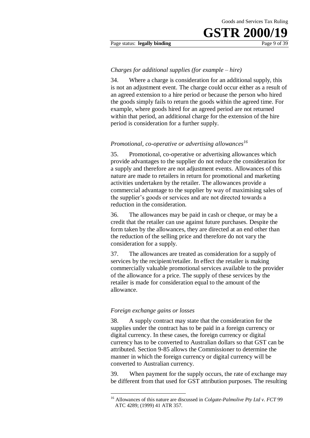#### Page status: **legally binding** Page 9 of 39

#### *Charges for additional supplies (for example – hire)*

34. Where a charge is consideration for an additional supply, this is not an adjustment event. The charge could occur either as a result of an agreed extension to a hire period or because the person who hired the goods simply fails to return the goods within the agreed time. For example, where goods hired for an agreed period are not returned within that period, an additional charge for the extension of the hire period is consideration for a further supply.

#### *Promotional, co-operative or advertising allowances<sup>16</sup>*

35. Promotional, co-operative or advertising allowances which provide advantages to the supplier do not reduce the consideration for a supply and therefore are not adjustment events. Allowances of this nature are made to retailers in return for promotional and marketing activities undertaken by the retailer. The allowances provide a commercial advantage to the supplier by way of maximising sales of the supplier's goods or services and are not directed towards a reduction in the consideration.

36. The allowances may be paid in cash or cheque, or may be a credit that the retailer can use against future purchases. Despite the form taken by the allowances, they are directed at an end other than the reduction of the selling price and therefore do not vary the consideration for a supply.

37. The allowances are treated as consideration for a supply of services by the recipient/retailer. In effect the retailer is making commercially valuable promotional services available to the provider of the allowance for a price. The supply of these services by the retailer is made for consideration equal to the amount of the allowance.

#### *Foreign exchange gains or losses*

1

38. A supply contract may state that the consideration for the supplies under the contract has to be paid in a foreign currency or digital currency. In these cases, the foreign currency or digital currency has to be converted to Australian dollars so that GST can be attributed. Section 9-85 allows the Commissioner to determine the manner in which the foreign currency or digital currency will be converted to Australian currency.

39. When payment for the supply occurs, the rate of exchange may be different from that used for GST attribution purposes. The resulting

<sup>16</sup> Allowances of this nature are discussed in *Colgate-Palmolive Pty Ltd v. FCT* 99 ATC 4289; (1999) 41 ATR 357.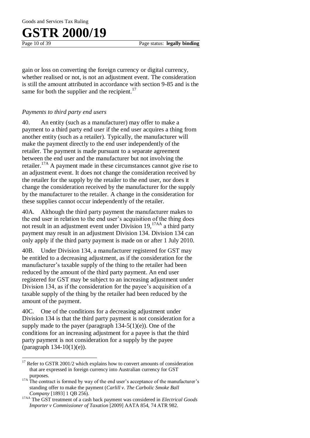Goods and Services Tax Ruling

## **GSTR 2000/19**

 $\overline{a}$ 

gain or loss on converting the foreign currency or digital currency, whether realised or not, is not an adjustment event. The consideration is still the amount attributed in accordance with section 9-85 and is the same for both the supplier and the recipient. $17$ 

#### *Payments to third party end users*

40. An entity (such as a manufacturer) may offer to make a payment to a third party end user if the end user acquires a thing from another entity (such as a retailer). Typically, the manufacturer will make the payment directly to the end user independently of the retailer. The payment is made pursuant to a separate agreement between the end user and the manufacturer but not involving the retailer.17A A payment made in these circumstances cannot give rise to an adjustment event. It does not change the consideration received by the retailer for the supply by the retailer to the end user, nor does it change the consideration received by the manufacturer for the supply by the manufacturer to the retailer. A change in the consideration for these supplies cannot occur independently of the retailer.

40A. Although the third party payment the manufacturer makes to the end user in relation to the end user's acquisition of the thing does not result in an adjustment event under Division 19.<sup>17AA</sup> a third party payment may result in an adjustment Division 134. Division 134 can only apply if the third party payment is made on or after 1 July 2010.

40B. Under Division 134, a manufacturer registered for GST may be entitled to a decreasing adjustment, as if the consideration for the manufacturer's taxable supply of the thing to the retailer had been reduced by the amount of the third party payment. An end user registered for GST may be subject to an increasing adjustment under Division 134, as if the consideration for the payee's acquisition of a taxable supply of the thing by the retailer had been reduced by the amount of the payment.

40C. One of the conditions for a decreasing adjustment under Division 134 is that the third party payment is not consideration for a supply made to the payer (paragraph  $134-5(1)(e)$ ). One of the conditions for an increasing adjustment for a payee is that the third party payment is not consideration for a supply by the payee (paragraph 134-10(1)(e)).

<sup>&</sup>lt;sup>17</sup> Refer to GSTR 2001/2 which explains how to convert amounts of consideration that are expressed in foreign currency into Australian currency for GST purposes.

<sup>&</sup>lt;sup>17A</sup> The contract is formed by way of the end user's acceptance of the manufacturer's standing offer to make the payment (*Carlill v. The Carbolic Smoke Ball Company* [1893] 1 QB 256).

<sup>17</sup>AA The GST treatment of a cash back payment was considered in *Electrical Goods Importer v Commissioner of Taxation* [2009] AATA 854, 74 ATR 982.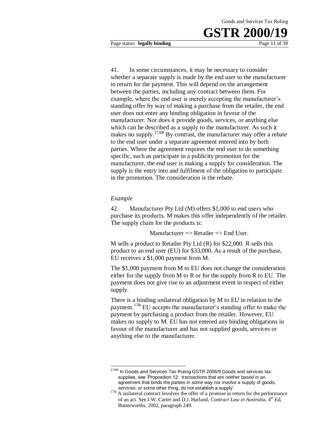41. In some circumstances, it may be necessary to consider whether a separate supply is made by the end user to the manufacturer in return for the payment. This will depend on the arrangement between the parties, including any contract between them. For example, where the end user is merely accepting the manufacturer's standing offer by way of making a purchase from the retailer, the end user does not enter any binding obligation in favour of the manufacturer. Nor does it provide goods, services, or anything else which can be described as a supply to the manufacturer. As such it makes no supply.<sup>17AB</sup> By contrast, the manufacturer may offer a rebate to the end user under a separate agreement entered into by both parties. Where the agreement requires the end user to do something specific, such as participate in a publicity promotion for the manufacturer, the end user is making a supply for consideration. The supply is the entry into and fulfilment of the obligation to participate in the promotion. The consideration is the rebate.

#### *Example*

 $\overline{a}$ 

42. Manufacturer Pty Ltd (M) offers \$1,000 to end users who purchase its products. M makes this offer independently of the retailer. The supply chain for the products is:

Manufacturer  $\Rightarrow$  Retailer  $\Rightarrow$  End User.

M sells a product to Retailer Pty Ltd (R) for \$22,000. R sells this product to an end user (EU) for \$33,000. As a result of the purchase, EU receives a \$1,000 payment from M.

The \$1,000 payment from M to EU does not change the consideration either for the supply from M to R or for the supply from R to EU. The payment does not give rise to an adjustment event in respect of either supply.

There is a binding unilateral obligation by M to EU in relation to the payment.17B EU accepts the manufacturer's standing offer to make the payment by purchasing a product from the retailer. However, EU makes no supply to M. EU has not entered any binding obligations in favour of the manufacturer and has not supplied goods, services or anything else to the manufacturer.

<sup>&</sup>lt;sup>17AB</sup> In Goods and Services Tax Ruling GSTR 2006/9 Goods and services tax: supplies, see 'Proposition 12: transactions that are neither based in an agreement that binds the parties in some way nor involve a supply of goods, services, or some other thing, do not establish a supply'.

<sup>&</sup>lt;sup>17B</sup> A unilateral contract involves the offer of a promise in return for the performance of an act. See J.W. Carter and D.J. Harland, *Contract Law in Australia*, 4<sup>th</sup> Ed, Butterworths, 2002, paragraph 249.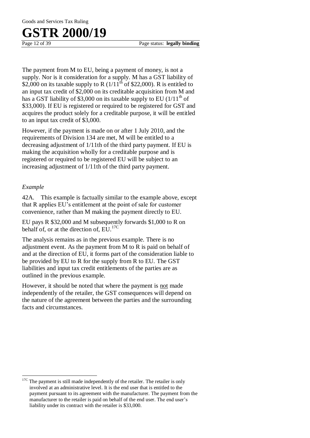The payment from M to EU, being a payment of money, is not a supply. Nor is it consideration for a supply. M has a GST liability of \$2,000 on its taxable supply to R  $(1/11^{th}$  of \$22,000). R is entitled to an input tax credit of \$2,000 on its creditable acquisition from M and has a GST liability of \$3,000 on its taxable supply to EU  $(1/11<sup>th</sup>$  of \$33,000). If EU is registered or required to be registered for GST and acquires the product solely for a creditable purpose, it will be entitled to an input tax credit of \$3,000.

However, if the payment is made on or after 1 July 2010, and the requirements of Division 134 are met, M will be entitled to a decreasing adjustment of 1/11th of the third party payment. If EU is making the acquisition wholly for a creditable purpose and is registered or required to be registered EU will be subject to an increasing adjustment of 1/11th of the third party payment.

#### *Example*

 $\overline{a}$ 

42A. This example is factually similar to the example above, except that R applies EU's entitlement at the point of sale for customer convenience, rather than M making the payment directly to EU.

EU pays R \$32,000 and M subsequently forwards \$1,000 to R on behalf of, or at the direction of,  $EU.$ <sup>17C</sup>

The analysis remains as in the previous example. There is no adjustment event. As the payment from M to R is paid on behalf of and at the direction of EU, it forms part of the consideration liable to be provided by EU to R for the supply from R to EU. The GST liabilities and input tax credit entitlements of the parties are as outlined in the previous example.

However, it should be noted that where the payment is not made independently of the retailer, the GST consequences will depend on the nature of the agreement between the parties and the surrounding facts and circumstances.

The payment is still made independently of the retailer. The retailer is only involved at an administrative level. It is the end user that is entitled to the payment pursuant to its agreement with the manufacturer. The payment from the manufacturer to the retailer is paid on behalf of the end user. The end user's liability under its contract with the retailer is \$33,000.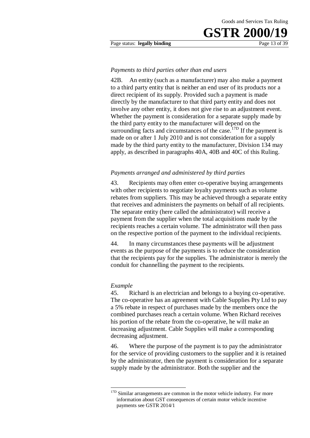#### Page status: **legally binding** Page 13 of 39

#### *Payments to third parties other than end users*

42B. An entity (such as a manufacturer) may also make a payment to a third party entity that is neither an end user of its products nor a direct recipient of its supply. Provided such a payment is made directly by the manufacturer to that third party entity and does not involve any other entity, it does not give rise to an adjustment event. Whether the payment is consideration for a separate supply made by the third party entity to the manufacturer will depend on the surrounding facts and circumstances of the case.<sup> $17D$ </sup> If the payment is made on or after 1 July 2010 and is not consideration for a supply made by the third party entity to the manufacturer, Division 134 may apply, as described in paragraphs 40A, 40B and 40C of this Ruling.

#### *Payments arranged and administered by third parties*

43. Recipients may often enter co-operative buying arrangements with other recipients to negotiate loyalty payments such as volume rebates from suppliers. This may be achieved through a separate entity that receives and administers the payments on behalf of all recipients. The separate entity (here called the administrator) will receive a payment from the supplier when the total acquisitions made by the recipients reaches a certain volume. The administrator will then pass on the respective portion of the payment to the individual recipients.

44. In many circumstances these payments will be adjustment events as the purpose of the payments is to reduce the consideration that the recipients pay for the supplies. The administrator is merely the conduit for channelling the payment to the recipients.

#### *Example*

<u>.</u>

45. Richard is an electrician and belongs to a buying co-operative. The co-operative has an agreement with Cable Supplies Pty Ltd to pay a 5% rebate in respect of purchases made by the members once the combined purchases reach a certain volume. When Richard receives his portion of the rebate from the co-operative, he will make an increasing adjustment. Cable Supplies will make a corresponding decreasing adjustment.

46. Where the purpose of the payment is to pay the administrator for the service of providing customers to the supplier and it is retained by the administrator, then the payment is consideration for a separate supply made by the administrator. Both the supplier and the

<sup>&</sup>lt;sup>17D</sup> Similar arrangements are common in the motor vehicle industry. For more information about GST consequences of certain motor vehicle incentive payments see GSTR 2014/1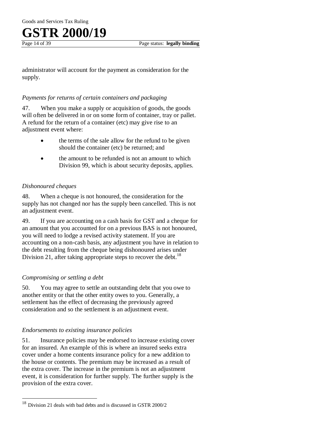administrator will account for the payment as consideration for the supply.

#### *Payments for returns of certain containers and packaging*

47. When you make a supply or acquisition of goods, the goods will often be delivered in or on some form of container, tray or pallet. A refund for the return of a container (etc) may give rise to an adjustment event where:

- the terms of the sale allow for the refund to be given should the container (etc) be returned; and
- the amount to be refunded is not an amount to which Division 99, which is about security deposits, applies.

#### *Dishonoured cheques*

48. When a cheque is not honoured, the consideration for the supply has not changed nor has the supply been cancelled. This is not an adjustment event.

49. If you are accounting on a cash basis for GST and a cheque for an amount that you accounted for on a previous BAS is not honoured, you will need to lodge a revised activity statement. If you are accounting on a non-cash basis, any adjustment you have in relation to the debt resulting from the cheque being dishonoured arises under Division 21, after taking appropriate steps to recover the debt.<sup>18</sup>

#### *Compromising or settling a debt*

 $\overline{a}$ 

50. You may agree to settle an outstanding debt that you owe to another entity or that the other entity owes to you. Generally, a settlement has the effect of decreasing the previously agreed consideration and so the settlement is an adjustment event.

#### *Endorsements to existing insurance policies*

51. Insurance policies may be endorsed to increase existing cover for an insured. An example of this is where an insured seeks extra cover under a home contents insurance policy for a new addition to the house or contents. The premium may be increased as a result of the extra cover. The increase in the premium is not an adjustment event, it is consideration for further supply. The further supply is the provision of the extra cover.

Division 21 deals with bad debts and is discussed in GSTR 2000/2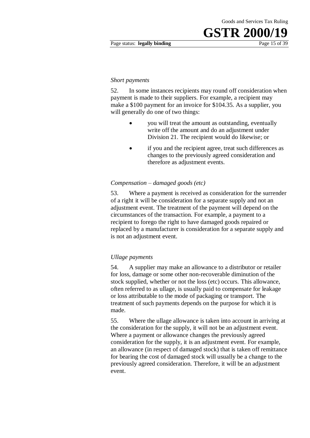#### *Short payments*

52. In some instances recipients may round off consideration when payment is made to their suppliers. For example, a recipient may make a \$100 payment for an invoice for \$104.35. As a supplier, you will generally do one of two things:

- you will treat the amount as outstanding, eventually write off the amount and do an adjustment under Division 21. The recipient would do likewise; or
- if you and the recipient agree, treat such differences as changes to the previously agreed consideration and therefore as adjustment events.

#### *Compensation – damaged goods (etc)*

53. Where a payment is received as consideration for the surrender of a right it will be consideration for a separate supply and not an adjustment event. The treatment of the payment will depend on the circumstances of the transaction. For example, a payment to a recipient to forego the right to have damaged goods repaired or replaced by a manufacturer is consideration for a separate supply and is not an adjustment event.

#### *Ullage payments*

54. A supplier may make an allowance to a distributor or retailer for loss, damage or some other non-recoverable diminution of the stock supplied, whether or not the loss (etc) occurs. This allowance, often referred to as ullage, is usually paid to compensate for leakage or loss attributable to the mode of packaging or transport. The treatment of such payments depends on the purpose for which it is made.

55. Where the ullage allowance is taken into account in arriving at the consideration for the supply, it will not be an adjustment event. Where a payment or allowance changes the previously agreed consideration for the supply, it is an adjustment event. For example, an allowance (in respect of damaged stock) that is taken off remittance for bearing the cost of damaged stock will usually be a change to the previously agreed consideration. Therefore, it will be an adjustment event.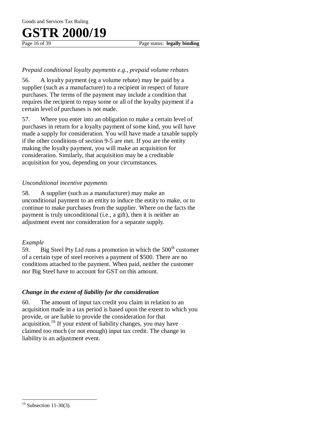#### *Prepaid conditional loyalty payments e.g., prepaid volume rebates*

56. A loyalty payment (eg a volume rebate) may be paid by a supplier (such as a manufacturer) to a recipient in respect of future purchases. The terms of the payment may include a condition that requires the recipient to repay some or all of the loyalty payment if a certain level of purchases is not made.

57. Where you enter into an obligation to make a certain level of purchases in return for a loyalty payment of some kind, you will have made a supply for consideration. You will have made a taxable supply if the other conditions of section 9-5 are met. If you are the entity making the loyalty payment, you will make an acquisition for consideration. Similarly, that acquisition may be a creditable acquisition for you, depending on your circumstances.

#### *Unconditional incentive payments*

58. A supplier (such as a manufacturer) may make an unconditional payment to an entity to induce the entity to make, or to continue to make purchases from the supplier. Where on the facts the payment is truly unconditional (i.e., a gift), then it is neither an adjustment event nor consideration for a separate supply.

#### *Example*

59. Big Steel Pty Ltd runs a promotion in which the  $500<sup>th</sup>$  customer of a certain type of steel receives a payment of \$500. There are no conditions attached to the payment. When paid, neither the customer nor Big Steel have to account for GST on this amount.

#### *Change in the extent of liability for the consideration*

60. The amount of input tax credit you claim in relation to an acquisition made in a tax period is based upon the extent to which you provide, or are liable to provide the consideration for that acquisition.<sup>19</sup> If your extent of liability changes, you may have claimed too much (or not enough) input tax credit. The change in liability is an adjustment event.

 $\overline{a}$ 

 $19$  Subsection 11-30(3).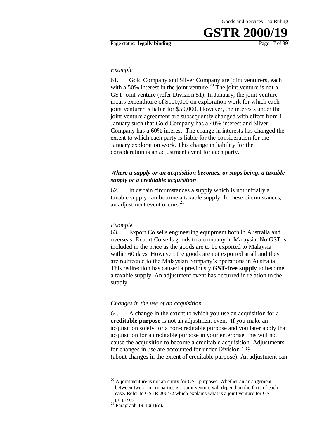#### *Example*

61. Gold Company and Silver Company are joint venturers, each with a 50% interest in the joint venture.<sup>20</sup> The joint venture is not a GST joint venture (refer Division 51). In January, the joint venture incurs expenditure of \$100,000 on exploration work for which each joint venturer is liable for \$50,000. However, the interests under the joint venture agreement are subsequently changed with effect from 1 January such that Gold Company has a 40% interest and Silver Company has a 60% interest. The change in interests has changed the extent to which each party is liable for the consideration for the January exploration work. This change in liability for the consideration is an adjustment event for each party.

#### *Where a supply or an acquisition becomes, or stops being, a taxable supply or a creditable acquisition*

62. In certain circumstances a supply which is not initially a taxable supply can become a taxable supply. In these circumstances, an adjustment event occurs.<sup>21</sup>

#### *Example*

63. Export Co sells engineering equipment both in Australia and overseas. Export Co sells goods to a company in Malaysia. No GST is included in the price as the goods are to be exported to Malaysia within 60 days. However, the goods are not exported at all and they are redirected to the Malaysian company's operations in Australia. This redirection has caused a previously **GST-free supply** to become a taxable supply. An adjustment event has occurred in relation to the supply.

#### *Changes in the use of an acquisition*

64. A change in the extent to which you use an acquisition for a **creditable purpose** is not an adjustment event. If you make an acquisition solely for a non-creditable purpose and you later apply that acquisition for a creditable purpose in your enterprise, this will not cause the acquisition to become a creditable acquisition. Adjustments for changes in use are accounted for under Division 129 (about changes in the extent of creditable purpose). An adjustment can

<u>.</u>

 $20$  A joint venture is not an entity for GST purposes. Whether an arrangement between two or more parties is a joint venture will depend on the facts of each case. Refer to GSTR 2004/2 which explains what is a joint venture for GST purposes.

 $^{21}$  Paragraph 19-10(1)(c).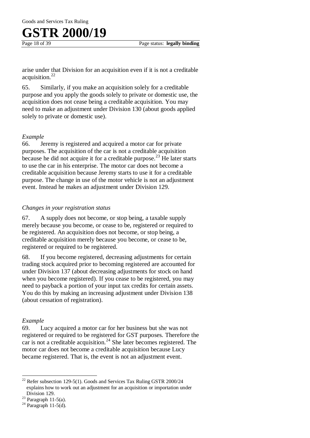Goods and Services Tax Ruling

## **GSTR 2000/19**

arise under that Division for an acquisition even if it is not a creditable acquisition.<sup>22</sup>

65. Similarly, if you make an acquisition solely for a creditable purpose and you apply the goods solely to private or domestic use, the acquisition does not cease being a creditable acquisition. You may need to make an adjustment under Division 130 (about goods applied solely to private or domestic use).

#### *Example*

66. Jeremy is registered and acquired a motor car for private purposes. The acquisition of the car is not a creditable acquisition because he did not acquire it for a creditable purpose.<sup>23</sup> He later starts to use the car in his enterprise. The motor car does not become a creditable acquisition because Jeremy starts to use it for a creditable purpose. The change in use of the motor vehicle is not an adjustment event. Instead he makes an adjustment under Division 129.

#### *Changes in your registration status*

67. A supply does not become, or stop being, a taxable supply merely because you become, or cease to be, registered or required to be registered. An acquisition does not become, or stop being, a creditable acquisition merely because you become, or cease to be, registered or required to be registered.

68. If you become registered, decreasing adjustments for certain trading stock acquired prior to becoming registered are accounted for under Division 137 (about decreasing adjustments for stock on hand when you become registered). If you cease to be registered, you may need to payback a portion of your input tax credits for certain assets. You do this by making an increasing adjustment under Division 138 (about cessation of registration).

#### *Example*

 $\overline{a}$ 

69. Lucy acquired a motor car for her business but she was not registered or required to be registered for GST purposes. Therefore the car is not a creditable acquisition.<sup>24</sup> She later becomes registered. The motor car does not become a creditable acquisition because Lucy became registered. That is, the event is not an adjustment event.

 $^{22}$  Refer subsection 129-5(1). Goods and Services Tax Ruling GSTR 2000/24 explains how to work out an adjustment for an acquisition or importation under Division 129.

 $23$  Paragraph 11-5(a).

 $24$  Paragraph 11-5(d).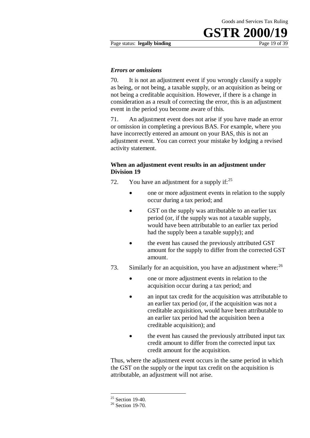#### Page status: **legally binding** Page 19 of 39

#### *Errors or omissions*

70. It is not an adjustment event if you wrongly classify a supply as being, or not being, a taxable supply, or an acquisition as being or not being a creditable acquisition. However, if there is a change in consideration as a result of correcting the error, this is an adjustment event in the period you become aware of this.

71. An adjustment event does not arise if you have made an error or omission in completing a previous BAS. For example, where you have incorrectly entered an amount on your BAS, this is not an adjustment event. You can correct your mistake by lodging a revised activity statement.

#### **When an adjustment event results in an adjustment under Division 19**

- 72. You have an adjustment for a supply if:  $2^5$ 
	- one or more adjustment events in relation to the supply occur during a tax period; and
	- GST on the supply was attributable to an earlier tax period (or, if the supply was not a taxable supply, would have been attributable to an earlier tax period had the supply been a taxable supply); and
	- the event has caused the previously attributed GST amount for the supply to differ from the corrected GST amount.
- 73. Similarly for an acquisition, you have an adjustment where:<sup>26</sup>
	- one or more adjustment events in relation to the acquisition occur during a tax period; and
	- an input tax credit for the acquisition was attributable to an earlier tax period (or, if the acquisition was not a creditable acquisition, would have been attributable to an earlier tax period had the acquisition been a creditable acquisition); and
	- the event has caused the previously attributed input tax credit amount to differ from the corrected input tax credit amount for the acquisition.

Thus, where the adjustment event occurs in the same period in which the GST on the supply or the input tax credit on the acquisition is attributable, an adjustment will not arise.

1

 $25$  Section 19-40.

<sup>&</sup>lt;sup>26</sup> Section 19-70.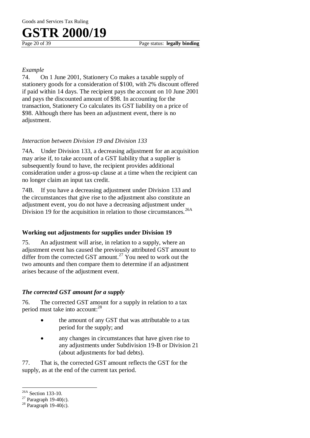#### *Example*

74. On 1 June 2001, Stationery Co makes a taxable supply of stationery goods for a consideration of \$100, with 2% discount offered if paid within 14 days. The recipient pays the account on 10 June 2001 and pays the discounted amount of \$98. In accounting for the transaction, Stationery Co calculates its GST liability on a price of \$98. Although there has been an adjustment event, there is no adjustment.

#### *Interaction between Division 19 and Division 133*

74A. Under Division 133, a decreasing adjustment for an acquisition may arise if, to take account of a GST liability that a supplier is subsequently found to have, the recipient provides additional consideration under a gross-up clause at a time when the recipient can no longer claim an input tax credit.

74B. If you have a decreasing adjustment under Division 133 and the circumstances that give rise to the adjustment also constitute an adjustment event, you do not have a decreasing adjustment under Division 19 for the acquisition in relation to those circumstances.<sup>26A</sup>

#### **Working out adjustments for supplies under Division 19**

75. An adjustment will arise, in relation to a supply, where an adjustment event has caused the previously attributed GST amount to differ from the corrected GST amount.<sup>27</sup> You need to work out the two amounts and then compare them to determine if an adjustment arises because of the adjustment event.

#### *The corrected GST amount for a supply*

76. The corrected GST amount for a supply in relation to a tax period must take into account:<sup>28</sup>

- the amount of any GST that was attributable to a tax period for the supply; and
- any changes in circumstances that have given rise to any adjustments under Subdivision 19-B or Division 21 (about adjustments for bad debts).

77. That is, the corrected GST amount reflects the GST for the supply, as at the end of the current tax period.

 $\overline{a}$ <sup>26A</sup> Section 133-10.

<sup>&</sup>lt;sup>27</sup> Paragraph 19-40(c).

 $28$  Paragraph 19-40(c).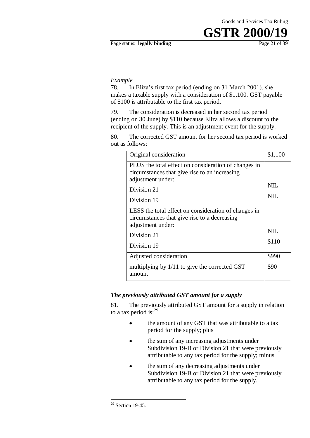#### *Example*

78. In Eliza's first tax period (ending on 31 March 2001), she makes a taxable supply with a consideration of \$1,100. GST payable of \$100 is attributable to the first tax period.

79. The consideration is decreased in her second tax period (ending on 30 June) by \$110 because Eliza allows a discount to the recipient of the supply. This is an adjustment event for the supply.

80. The corrected GST amount for her second tax period is worked out as follows:

| Original consideration                                                                                                     | \$1,100    |
|----------------------------------------------------------------------------------------------------------------------------|------------|
| PLUS the total effect on consideration of changes in<br>circumstances that give rise to an increasing<br>adjustment under: |            |
| Division 21                                                                                                                | <b>NIL</b> |
| Division 19                                                                                                                | <b>NIL</b> |
| LESS the total effect on consideration of changes in<br>circumstances that give rise to a decreasing<br>adjustment under:  |            |
| Division 21                                                                                                                | NIL.       |
| Division 19                                                                                                                | \$110      |
| Adjusted consideration                                                                                                     | \$990      |
| multiplying by 1/11 to give the corrected GST<br>amount                                                                    | \$90       |

#### *The previously attributed GST amount for a supply*

81. The previously attributed GST amount for a supply in relation to a tax period is:<sup>29</sup>

- the amount of any GST that was attributable to a tax period for the supply; plus
- the sum of any increasing adjustments under Subdivision 19-B or Division 21 that were previously attributable to any tax period for the supply; minus
- the sum of any decreasing adjustments under Subdivision 19-B or Division 21 that were previously attributable to any tax period for the supply.

1

 $29$  Section 19-45.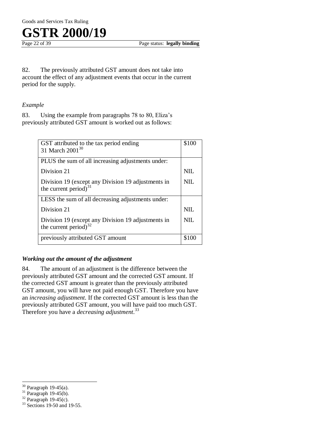

82. The previously attributed GST amount does not take into account the effect of any adjustment events that occur in the current period for the supply.

#### *Example*

83. Using the example from paragraphs 78 to 80, Eliza's previously attributed GST amount is worked out as follows:

| GST attributed to the tax period ending<br>31 March 2001 <sup>30</sup>            | \$100      |
|-----------------------------------------------------------------------------------|------------|
| PLUS the sum of all increasing adjustments under:                                 |            |
| Division 21                                                                       | <b>NIL</b> |
| Division 19 (except any Division 19 adjustments in<br>the current period) $31$    | <b>NIL</b> |
| LESS the sum of all decreasing adjustments under:                                 |            |
| Division 21                                                                       | <b>NIL</b> |
| Division 19 (except any Division 19 adjustments in<br>the current period) $^{32}$ | <b>NIL</b> |
| previously attributed GST amount                                                  | \$100      |

#### *Working out the amount of the adjustment*

84. The amount of an adjustment is the difference between the previously attributed GST amount and the corrected GST amount. If the corrected GST amount is greater than the previously attributed GST amount, you will have not paid enough GST. Therefore you have an *increasing adjustment*. If the corrected GST amount is less than the previously attributed GST amount, you will have paid too much GST. Therefore you have a *decreasing adjustment*. 33

 $\overline{a}$ 

 $30$  Paragraph 19-45(a).

 $31$  Paragraph 19-45(b).

 $32$  Paragraph 19-45(c).

<sup>&</sup>lt;sup>33</sup> Sections 19-50 and 19-55.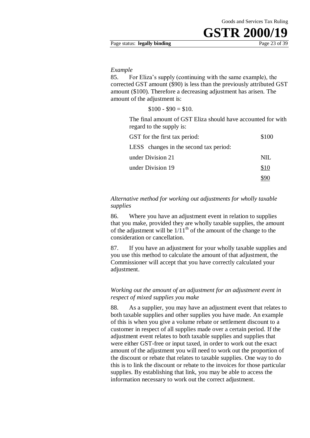#### Page status: **legally binding** Page 23 of 39

#### *Example*

85. For Eliza's supply (continuing with the same example), the corrected GST amount (\$90) is less than the previously attributed GST amount (\$100). Therefore a decreasing adjustment has arisen. The amount of the adjustment is:

 $$100 - $90 = $10.$ 

The final amount of GST Eliza should have accounted for with regard to the supply is:

| GST for the first tax period:          | \$100 |
|----------------------------------------|-------|
| LESS changes in the second tax period: |       |
| under Division 21                      | NIL.  |
| under Division 19                      | \$10  |
|                                        |       |

#### *Alternative method for working out adjustments for wholly taxable supplies*

86. Where you have an adjustment event in relation to supplies that you make, provided they are wholly taxable supplies, the amount of the adjustment will be  $1/11<sup>th</sup>$  of the amount of the change to the consideration or cancellation.

87. If you have an adjustment for your wholly taxable supplies and you use this method to calculate the amount of that adjustment, the Commissioner will accept that you have correctly calculated your adjustment.

#### *Working out the amount of an adjustment for an adjustment event in respect of mixed supplies you make*

88. As a supplier, you may have an adjustment event that relates to both taxable supplies and other supplies you have made. An example of this is when you give a volume rebate or settlement discount to a customer in respect of all supplies made over a certain period. If the adjustment event relates to both taxable supplies and supplies that were either GST-free or input taxed, in order to work out the exact amount of the adjustment you will need to work out the proportion of the discount or rebate that relates to taxable supplies. One way to do this is to link the discount or rebate to the invoices for those particular supplies. By establishing that link, you may be able to access the information necessary to work out the correct adjustment.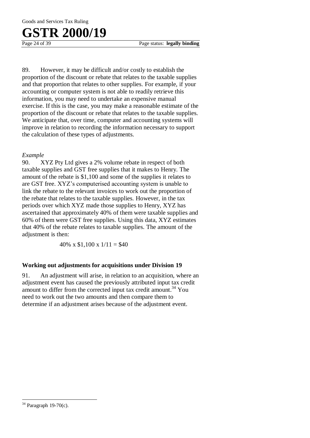Goods and Services Tax Ruling

## **GSTR 2000/19**

89. However, it may be difficult and/or costly to establish the proportion of the discount or rebate that relates to the taxable supplies and that proportion that relates to other supplies. For example, if your accounting or computer system is not able to readily retrieve this information, you may need to undertake an expensive manual exercise. If this is the case, you may make a reasonable estimate of the proportion of the discount or rebate that relates to the taxable supplies. We anticipate that, over time, computer and accounting systems will improve in relation to recording the information necessary to support the calculation of these types of adjustments.

#### *Example*

90. XYZ Pty Ltd gives a 2% volume rebate in respect of both taxable supplies and GST free supplies that it makes to Henry. The amount of the rebate is \$1,100 and some of the supplies it relates to are GST free. XYZ's computerised accounting system is unable to link the rebate to the relevant invoices to work out the proportion of the rebate that relates to the taxable supplies. However, in the tax periods over which XYZ made those supplies to Henry, XYZ has ascertained that approximately 40% of them were taxable supplies and 60% of them were GST free supplies. Using this data, XYZ estimates that 40% of the rebate relates to taxable supplies. The amount of the adjustment is then:

40% x  $$1,100 \times 1/11 = $40$ 

#### **Working out adjustments for acquisitions under Division 19**

91. An adjustment will arise, in relation to an acquisition, where an adjustment event has caused the previously attributed input tax credit amount to differ from the corrected input tax credit amount.<sup>34</sup> You need to work out the two amounts and then compare them to determine if an adjustment arises because of the adjustment event.

 $\overline{a}$ 

 $34$  Paragraph 19-70(c).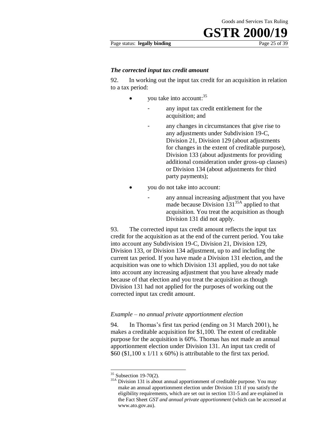#### Page status: **legally binding** Page 25 of 39

#### *The corrected input tax credit amount*

92. In working out the input tax credit for an acquisition in relation to a tax period:

- $\bullet$  you take into account:<sup>35</sup>
	- any input tax credit entitlement for the acquisition; and
		- any changes in circumstances that give rise to any adjustments under Subdivision 19-C, Division 21, Division 129 (about adjustments for changes in the extent of creditable purpose), Division 133 (about adjustments for providing additional consideration under gross-up clauses) or Division 134 (about adjustments for third party payments);
- you do not take into account:
	- any annual increasing adjustment that you have made because Division  $131^{35A}$  applied to that acquisition. You treat the acquisition as though Division 131 did not apply.

93. The corrected input tax credit amount reflects the input tax credit for the acquisition as at the end of the current period. You take into account any Subdivision 19-C, Division 21, Division 129, Division 133, or Division 134 adjustment, up to and including the current tax period. If you have made a Division 131 election, and the acquisition was one to which Division 131 applied, you do not take into account any increasing adjustment that you have already made because of that election and you treat the acquisition as though Division 131 had not applied for the purposes of working out the corrected input tax credit amount.

#### *Example – no annual private apportionment election*

94. In Thomas's first tax period (ending on 31 March 2001), he makes a creditable acquisition for \$1,100. The extent of creditable purpose for the acquisition is 60%. Thomas has not made an annual apportionment election under Division 131. An input tax credit of  $$60 ($1,100 \times 1/11 \times 60\%)$  is attributable to the first tax period.

1

 $35$  Subsection 19-70(2).

<sup>&</sup>lt;sup>35A</sup> Division 131 is about annual apportionment of creditable purpose. You may make an annual apportionment election under Division 131 if you satisfy the eligibility requirements, which are set out in section 131-5 and are explained in the Fact Sheet *GST and annual private apportionment* (which can be accessed at www.ato.gov.au).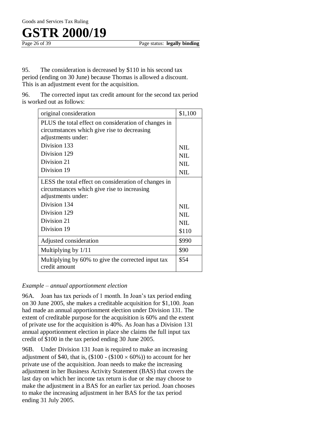95. The consideration is decreased by \$110 in his second tax period (ending on 30 June) because Thomas is allowed a discount. This is an adjustment event for the acquisition.

96. The corrected input tax credit amount for the second tax period is worked out as follows:

| original consideration                                              | \$1,100    |
|---------------------------------------------------------------------|------------|
| PLUS the total effect on consideration of changes in                |            |
| circumstances which give rise to decreasing                         |            |
| adjustments under:                                                  |            |
| Division 133                                                        | <b>NIL</b> |
| Division 129                                                        | <b>NIL</b> |
| Division 21                                                         | <b>NIL</b> |
| Division 19                                                         | <b>NIL</b> |
| LESS the total effect on consideration of changes in                |            |
| circumstances which give rise to increasing                         |            |
| adjustments under:                                                  |            |
| Division 134                                                        | <b>NIL</b> |
| Division 129                                                        | <b>NIL</b> |
| Division 21                                                         | <b>NIL</b> |
| Division 19                                                         | \$110      |
| Adjusted consideration                                              | \$990      |
| Multiplying by 1/11                                                 | \$90       |
| Multiplying by 60% to give the corrected input tax<br>credit amount | \$54       |

#### *Example – annual apportionment election*

96A. Joan has tax periods of 1 month. In Joan's tax period ending on 30 June 2005, she makes a creditable acquisition for \$1,100. Joan had made an annual apportionment election under Division 131. The extent of creditable purpose for the acquisition is 60% and the extent of private use for the acquisition is 40%. As Joan has a Division 131 annual apportionment election in place she claims the full input tax credit of \$100 in the tax period ending 30 June 2005.

96B. Under Division 131 Joan is required to make an increasing adjustment of \$40, that is,  $(\$100 - (\$100 \times 60\%)$  to account for her private use of the acquisition. Joan needs to make the increasing adjustment in her Business Activity Statement (BAS) that covers the last day on which her income tax return is due or she may choose to make the adjustment in a BAS for an earlier tax period. Joan chooses to make the increasing adjustment in her BAS for the tax period ending 31 July 2005.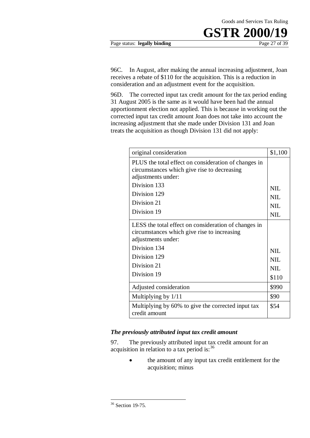#### Page status: **legally binding** Page 27 of 39

96C. In August, after making the annual increasing adjustment, Joan receives a rebate of \$110 for the acquisition. This is a reduction in consideration and an adjustment event for the acquisition.

96D. The corrected input tax credit amount for the tax period ending 31 August 2005 is the same as it would have been had the annual apportionment election not applied. This is because in working out the corrected input tax credit amount Joan does not take into account the increasing adjustment that she made under Division 131 and Joan treats the acquisition as though Division 131 did not apply:

| original consideration                                                                                                    | \$1,100    |
|---------------------------------------------------------------------------------------------------------------------------|------------|
| PLUS the total effect on consideration of changes in<br>circumstances which give rise to decreasing<br>adjustments under: |            |
| Division 133                                                                                                              | <b>NIL</b> |
| Division 129                                                                                                              | <b>NIL</b> |
| Division 21                                                                                                               | <b>NIL</b> |
| Division 19                                                                                                               | <b>NIL</b> |
| LESS the total effect on consideration of changes in<br>circumstances which give rise to increasing<br>adjustments under: |            |
| Division 134                                                                                                              | NIL.       |
| Division 129                                                                                                              | <b>NIL</b> |
| Division 21                                                                                                               | <b>NIL</b> |
| Division 19                                                                                                               | \$110      |
| Adjusted consideration                                                                                                    | \$990      |
| Multiplying by 1/11                                                                                                       | \$90       |
| Multiplying by 60% to give the corrected input tax<br>credit amount                                                       | \$54       |

#### *The previously attributed input tax credit amount*

97. The previously attributed input tax credit amount for an acquisition in relation to a tax period is:  $36$ 

> • the amount of any input tax credit entitlement for the acquisition; minus

1

<sup>&</sup>lt;sup>36</sup> Section 19-75.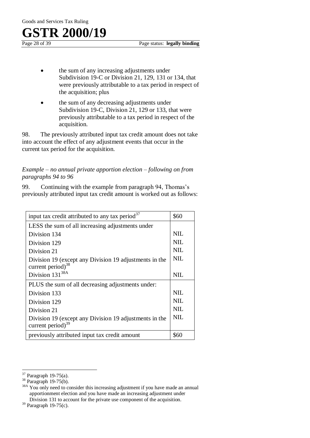Page status: **legally binding** 

- the sum of any increasing adjustments under Subdivision 19-C or Division 21, 129, 131 or 134, that were previously attributable to a tax period in respect of the acquisition; plus
- the sum of any decreasing adjustments under Subdivision 19-C, Division 21, 129 or 133, that were previously attributable to a tax period in respect of the acquisition.

98. The previously attributed input tax credit amount does not take into account the effect of any adjustment events that occur in the current tax period for the acquisition.

#### *Example – no annual private apportion election – following on from paragraphs 94 to 96*

99. Continuing with the example from paragraph 94, Thomas's previously attributed input tax credit amount is worked out as follows:

| input tax credit attributed to any tax period <sup>37</sup> | \$60       |
|-------------------------------------------------------------|------------|
| LESS the sum of all increasing adjustments under            |            |
| Division 134                                                | NIL.       |
| Division 129                                                | NIL        |
| Division 21                                                 | <b>NIL</b> |
| Division 19 (except any Division 19 adjustments in the      | <b>NIL</b> |
| current period) $38$                                        |            |
| Division $131^{38A}$                                        | NIL        |
| PLUS the sum of all decreasing adjustments under:           |            |
| Division 133                                                | <b>NIL</b> |
| Division 129                                                | NIL        |
| Division 21                                                 | NIL        |
| Division 19 (except any Division 19 adjustments in the      | NIL        |
| current period) $39$                                        |            |
| previously attributed input tax credit amount               | \$60       |

 $\overline{a}$  $37$  Paragraph 19-75(a).

<sup>38</sup> Paragraph 19-75(b).

<sup>&</sup>lt;sup>38A</sup> You only need to consider this increasing adjustment if you have made an annual apportionment election and you have made an increasing adjustment under Division 131 to account for the private use component of the acquisition.

<sup>39</sup> Paragraph 19-75(c).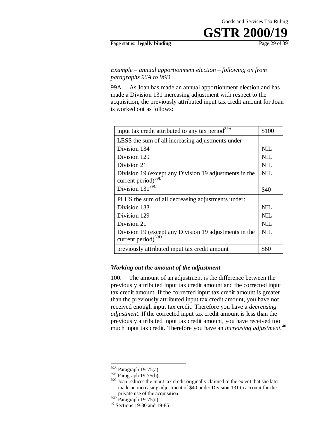#### Page status: **legally binding** Page 29 of 39

#### *Example – annual apportionment election – following on from paragraphs 96A to 96D*

99A. As Joan has made an annual apportionment election and has made a Division 131 increasing adjustment with respect to the acquisition, the previously attributed input tax credit amount for Joan is worked out as follows:

| input tax credit attributed to any tax period <sup>39A</sup>                    | \$100      |
|---------------------------------------------------------------------------------|------------|
| LESS the sum of all increasing adjustments under                                |            |
| Division 134                                                                    | <b>NIL</b> |
| Division 129                                                                    | NIL        |
| Division 21                                                                     | NIL        |
| Division 19 (except any Division 19 adjustments in the                          | <b>NIL</b> |
| current period) $39B$                                                           |            |
| Division $131^{39C}$                                                            | \$40       |
| PLUS the sum of all decreasing adjustments under:                               |            |
| Division 133                                                                    | <b>NIL</b> |
| Division 129                                                                    | <b>NIL</b> |
| Division 21                                                                     | <b>NIL</b> |
| Division 19 (except any Division 19 adjustments in the<br>current period) $39E$ | NIL        |
| previously attributed input tax credit amount                                   | \$60       |

#### *Working out the amount of the adjustment*

100. The amount of an adjustment is the difference between the previously attributed input tax credit amount and the corrected input tax credit amount. If the corrected input tax credit amount is greater than the previously attributed input tax credit amount, you have not received enough input tax credit. Therefore you have a *decreasing adjustment*. If the corrected input tax credit amount is less than the previously attributed input tax credit amount, you have received too much input tax credit. Therefore you have an *increasing adjustment.*<sup>40</sup>

1

<sup>39</sup>A Paragraph 19-75(a).

<sup>39</sup>B Paragraph 19-75(b).

<sup>&</sup>lt;sup>39C</sup> Joan reduces the input tax credit originally claimed to the extent that she later made an increasing adjustment of \$40 under Division 131 to account for the private use of the acquisition.

 $39D$  Paragraph 19-75(c).

<sup>40</sup> Sections 19-80 and 19-85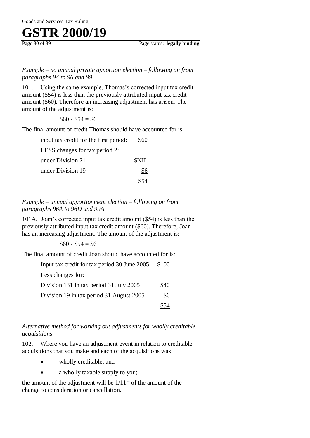*Example – no annual private apportion election – following on from paragraphs 94 to 96 and 99* 

101. Using the same example, Thomas's corrected input tax credit amount (\$54) is less than the previously attributed input tax credit amount (\$60). Therefore an increasing adjustment has arisen. The amount of the adjustment is:

 $$60 - $54 = $6$ 

The final amount of credit Thomas should have accounted for is:

| input tax credit for the first period: | \$60        |
|----------------------------------------|-------------|
| LESS changes for tax period 2:         |             |
| under Division 21                      | <b>SNIL</b> |
| under Division 19                      | \$6         |
|                                        |             |

*Example – annual apportionment election – following on from paragraphs 96A to 96D and 99A* 

101A. Joan's corrected input tax credit amount (\$54) is less than the previously attributed input tax credit amount (\$60). Therefore, Joan has an increasing adjustment. The amount of the adjustment is:

 $$60 - $54 = $6$ 

The final amount of credit Joan should have accounted for is:

| Input tax credit for tax period 30 June 2005 | \$100 |
|----------------------------------------------|-------|
| Less changes for:                            |       |
| Division 131 in tax period 31 July 2005      | \$40  |
| Division 19 in tax period 31 August 2005     | \$6   |
|                                              |       |

*Alternative method for working out adjustments for wholly creditable acquisitions* 

102. Where you have an adjustment event in relation to creditable acquisitions that you make and each of the acquisitions was:

- wholly creditable; and
- a wholly taxable supply to you;

the amount of the adjustment will be  $1/11<sup>th</sup>$  of the amount of the change to consideration or cancellation.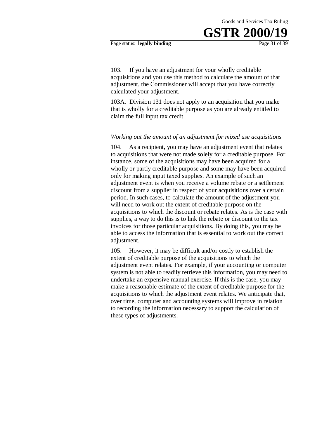103. If you have an adjustment for your wholly creditable acquisitions and you use this method to calculate the amount of that adjustment, the Commissioner will accept that you have correctly calculated your adjustment.

Goods and Services Tax Ruling

**GSTR 200** 

103A. Division 131 does not apply to an acquisition that you make that is wholly for a creditable purpose as you are already entitled to claim the full input tax credit.

#### *Working out the amount of an adjustment for mixed use acquisitions*

104. As a recipient, you may have an adjustment event that relates to acquisitions that were not made solely for a creditable purpose. For instance, some of the acquisitions may have been acquired for a wholly or partly creditable purpose and some may have been acquired only for making input taxed supplies. An example of such an adjustment event is when you receive a volume rebate or a settlement discount from a supplier in respect of your acquisitions over a certain period. In such cases, to calculate the amount of the adjustment you will need to work out the extent of creditable purpose on the acquisitions to which the discount or rebate relates. As is the case with supplies, a way to do this is to link the rebate or discount to the tax invoices for those particular acquisitions. By doing this, you may be able to access the information that is essential to work out the correct adjustment.

105. However, it may be difficult and/or costly to establish the extent of creditable purpose of the acquisitions to which the adjustment event relates. For example, if your accounting or computer system is not able to readily retrieve this information, you may need to undertake an expensive manual exercise. If this is the case, you may make a reasonable estimate of the extent of creditable purpose for the acquisitions to which the adjustment event relates. We anticipate that, over time, computer and accounting systems will improve in relation to recording the information necessary to support the calculation of these types of adjustments.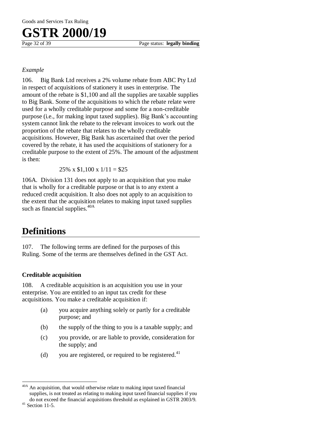#### *Example*

106. Big Bank Ltd receives a 2% volume rebate from ABC Pty Ltd in respect of acquisitions of stationery it uses in enterprise. The amount of the rebate is \$1,100 and all the supplies are taxable supplies to Big Bank. Some of the acquisitions to which the rebate relate were used for a wholly creditable purpose and some for a non-creditable purpose (i.e., for making input taxed supplies). Big Bank's accounting system cannot link the rebate to the relevant invoices to work out the proportion of the rebate that relates to the wholly creditable acquisitions. However, Big Bank has ascertained that over the period covered by the rebate, it has used the acquisitions of stationery for a creditable purpose to the extent of 25%. The amount of the adjustment is then:

25% x  $$1,100 \times 1/11 = $25$ 

106A. Division 131 does not apply to an acquisition that you make that is wholly for a creditable purpose or that is to any extent a reduced credit acquisition. It also does not apply to an acquisition to the extent that the acquisition relates to making input taxed supplies such as financial supplies.<sup>40A</sup>

### **Definitions**

107. The following terms are defined for the purposes of this Ruling. Some of the terms are themselves defined in the GST Act.

#### **Creditable acquisition**

108. A creditable acquisition is an acquisition you use in your enterprise. You are entitled to an input tax credit for these acquisitions. You make a creditable acquisition if:

- (a) you acquire anything solely or partly for a creditable purpose; and
- (b) the supply of the thing to you is a taxable supply; and
- (c) you provide, or are liable to provide, consideration for the supply; and
- (d) you are registered, or required to be registered.<sup>41</sup>

 $\overline{a}$ <sup>40A</sup> An acquisition, that would otherwise relate to making input taxed financial supplies, is not treated as relating to making input taxed financial supplies if you do not exceed the financial acquisitions threshold as explained in GSTR 2003/9.

 $41$  Section 11-5.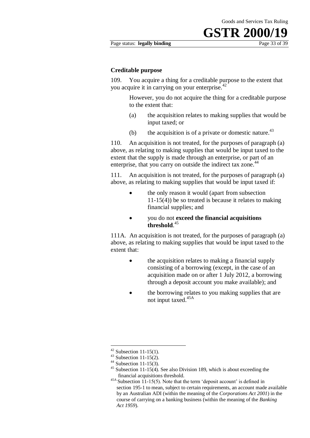#### Page status: **legally binding** Page 33 of 39

#### **Creditable purpose**

109. You acquire a thing for a creditable purpose to the extent that you acquire it in carrying on your enterprise.<sup>42</sup>

> However, you do not acquire the thing for a creditable purpose to the extent that:

- (a) the acquisition relates to making supplies that would be input taxed; or
- (b) the acquisition is of a private or domestic nature.<sup>43</sup>

110. An acquisition is not treated, for the purposes of paragraph (a) above, as relating to making supplies that would be input taxed to the extent that the supply is made through an enterprise, or part of an enterprise, that you carry on outside the indirect tax zone.<sup>44</sup>

111. An acquisition is not treated, for the purposes of paragraph (a) above, as relating to making supplies that would be input taxed if:

- the only reason it would (apart from subsection 11-15(4)) be so treated is because it relates to making financial supplies; and
- you do not **exceed the financial acquisitions threshold**. 45

111A. An acquisition is not treated, for the purposes of paragraph (a) above, as relating to making supplies that would be input taxed to the extent that:

- the acquisition relates to making a financial supply consisting of a borrowing (except, in the case of an acquisition made on or after 1 July 2012, a borrowing through a deposit account you make available); and
- the borrowing relates to you making supplies that are not input taxed.45A

1

 $42$  Subsection 11-15(1).

 $43$  Subsection 11-15(2).

 $44$  Subsection 11-15(3).

<sup>&</sup>lt;sup>45</sup> Subsection 11-15(4). See also Division 189, which is about exceeding the financial acquisitions threshold.

 $45A$  Subsection 11-15(5). Note that the term 'deposit account' is defined in section 195-1 to mean, subject to certain requirements, an account made available by an Australian ADI (within the meaning of the *Corporations Act 2001*) in the course of carrying on a banking business (within the meaning of the *Banking Act 1959*).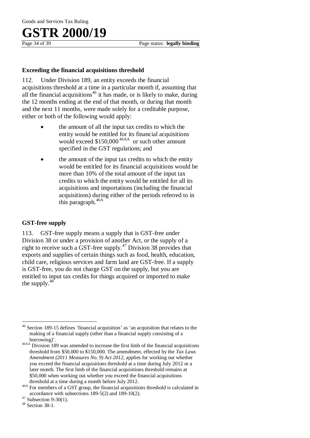#### **Exceeding the financial acquisitions threshold**

112. Under Division 189, an entity exceeds the financial acquisitions threshold at a time in a particular month if, assuming that all the financial acquisitions<sup>46</sup> it has made, or is likely to make, during the 12 months ending at the end of that month, or during that month and the next 11 months, were made solely for a creditable purpose, either or both of the following would apply:

- the amount of all the input tax credits to which the entity would be entitled for its financial acquisitions would exceed \$150,000<sup>46AA</sup> or such other amount specified in the GST regulations; and
- the amount of the input tax credits to which the entity would be entitled for its financial acquisitions would be more than 10% of the total amount of the input tax credits to which the entity would be entitled for all its acquisitions and importations (including the financial acquisitions) during either of the periods referred to in this paragraph.<sup>46A</sup>

#### **GST-free supply**

113. GST-free supply means a supply that is GST-free under Division 38 or under a provision of another Act, or the supply of a right to receive such a GST-free supply.<sup>47</sup> Division 38 provides that exports and supplies of certain things such as food, health, education, child care, religious services and farm land are GST-free. If a supply is GST-free, you do not charge GST on the supply, but you are entitled to input tax credits for things acquired or imported to make the supply.<sup>48</sup>

 $\overline{a}$ 

<sup>46</sup> Section 189-15 defines 'financial acquisition' as 'an acquisition that relates to the making of a financial supply (other than a financial supply consisting of a borrowing)'.

<sup>46</sup>AA Division 189 was amended to increase the first limb of the financial acquisitions threshold from \$50,000 to \$150,000. The amendment, effected by the *Tax Laws Amendment (2011 Measures No. 9) Act 2012*, applies for working out whether you exceed the financial acquisitions threshold at a time during July 2012 or a later month. The first limb of the financial acquisitions threshold remains at \$50,000 when working out whether you exceed the financial acquisitions threshold at a time during a month before July 2012.

<sup>46</sup>A For members of a GST group, the financial acquisitions threshold is calculated in accordance with subsections 189-5(2) and 189-10(2).

 $47$  Subsection 9-30(1).

<sup>48</sup> Section 38-1.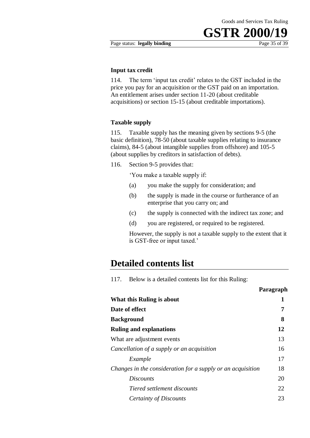#### Page status: **legally binding** Page 35 of 39

#### **Input tax credit**

114. The term 'input tax credit' relates to the GST included in the price you pay for an acquisition or the GST paid on an importation. An entitlement arises under section 11-20 (about creditable acquisitions) or section 15-15 (about creditable importations).

#### **Taxable supply**

115. Taxable supply has the meaning given by sections 9-5 (the basic definition), 78-50 (about taxable supplies relating to insurance claims), 84-5 (about intangible supplies from offshore) and 105-5 (about supplies by creditors in satisfaction of debts).

116. Section 9-5 provides that:

'You make a taxable supply if:

- (a) you make the supply for consideration; and
- (b) the supply is made in the course or furtherance of an enterprise that you carry on; and
- (c) the supply is connected with the indirect tax zone; and
- (d) you are registered, or required to be registered.

However, the supply is not a taxable supply to the extent that it is GST-free or input taxed.'

### **Detailed contents list**

117. Below is a detailed contents list for this Ruling:

|                                                             | Paragraph |
|-------------------------------------------------------------|-----------|
| What this Ruling is about                                   | 1         |
| Date of effect                                              | 7         |
| <b>Background</b>                                           | 8         |
| <b>Ruling and explanations</b>                              | 12        |
| What are adjustment events                                  | 13        |
| Cancellation of a supply or an acquisition                  | 16        |
| Example                                                     | 17        |
| Changes in the consideration for a supply or an acquisition | 18        |
| <i>Discounts</i>                                            | 20        |
| Tiered settlement discounts                                 | 22        |
| Certainty of Discounts                                      | 23        |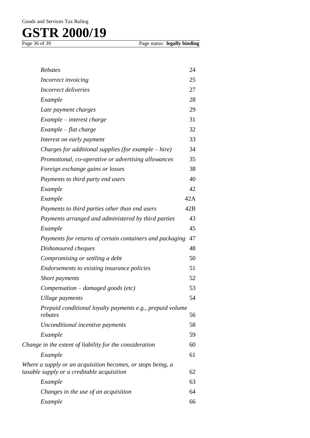Page status: **legally binding** 

| Rebates                                                                                                   | 24  |
|-----------------------------------------------------------------------------------------------------------|-----|
| Incorrect invoicing                                                                                       | 25  |
| Incorrect deliveries                                                                                      | 27  |
| Example                                                                                                   | 28  |
| Late payment charges                                                                                      | 29  |
| $Example - interest \ charge$                                                                             | 31  |
| $Example - flat charge$                                                                                   | 32  |
| Interest on early payment                                                                                 | 33  |
| Charges for additional supplies (for example $-$ hire)                                                    | 34  |
| Promotional, co-operative or advertising allowances                                                       | 35  |
| Foreign exchange gains or losses                                                                          | 38  |
| Payments to third party end users                                                                         | 40  |
| Example                                                                                                   | 42  |
| Example                                                                                                   | 42A |
| Payments to third parties other than end users                                                            | 42B |
| Payments arranged and administered by third parties                                                       | 43  |
| Example                                                                                                   | 45  |
| Payments for returns of certain containers and packaging                                                  | 47  |
| Dishonoured cheques                                                                                       | 48  |
| Compromising or settling a debt                                                                           | 50  |
| Endorsements to existing insurance policies                                                               | 51  |
| Short payments                                                                                            | 52  |
| $Compensation$ – damaged goods (etc)                                                                      | 53  |
| Ullage payments                                                                                           | 54  |
| Prepaid conditional loyalty payments e.g., prepaid volume<br>rebates                                      | 56  |
| Unconditional incentive payments                                                                          | 58  |
| Example                                                                                                   | 59  |
| Change in the extent of liability for the consideration                                                   | 60  |
| Example                                                                                                   | 61  |
| Where a supply or an acquisition becomes, or stops being, a<br>taxable supply or a creditable acquisition | 62  |
| Example                                                                                                   | 63  |
| Changes in the use of an acquisition                                                                      | 64  |
| Example                                                                                                   | 66  |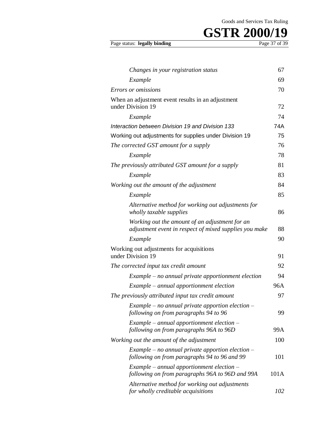# **GSTR 2000/19** Page 37 of 39

#### Page status: legally binding

| Changes in your registration status                                                                      | 67   |
|----------------------------------------------------------------------------------------------------------|------|
| Example                                                                                                  | 69   |
| Errors or omissions                                                                                      | 70   |
| When an adjustment event results in an adjustment                                                        |      |
| under Division 19                                                                                        | 72   |
| Example                                                                                                  | 74   |
| Interaction between Division 19 and Division 133                                                         | 74A  |
| Working out adjustments for supplies under Division 19                                                   | 75   |
| The corrected GST amount for a supply                                                                    | 76   |
| Example                                                                                                  | 78   |
| The previously attributed GST amount for a supply                                                        | 81   |
| Example                                                                                                  | 83   |
| Working out the amount of the adjustment                                                                 | 84   |
| Example                                                                                                  | 85   |
| Alternative method for working out adjustments for<br>wholly taxable supplies                            | 86   |
| Working out the amount of an adjustment for an<br>adjustment event in respect of mixed supplies you make | 88   |
| Example                                                                                                  | 90   |
| Working out adjustments for acquisitions<br>under Division 19                                            | 91   |
| The corrected input tax credit amount                                                                    | 92   |
| $Example - no$ annual private apportionment election                                                     | 94   |
| Example – annual apportionment election                                                                  | 96A  |
| The previously attributed input tax credit amount                                                        | 97   |
| Example – no annual private apportion election –<br>following on from paragraphs 94 to 96                | 99   |
| $Example - annual$ apportionment election $-$<br>following on from paragraphs 96A to 96D                 | 99A  |
| Working out the amount of the adjustment                                                                 | 100  |
| Example – no annual private apportion election –<br>following on from paragraphs 94 to 96 and 99         | 101  |
| $Example - annual$ apportionment election $-$<br>following on from paragraphs 96A to 96D and 99A         | 101A |
| Alternative method for working out adjustments<br>for wholly creditable acquisitions                     | 102  |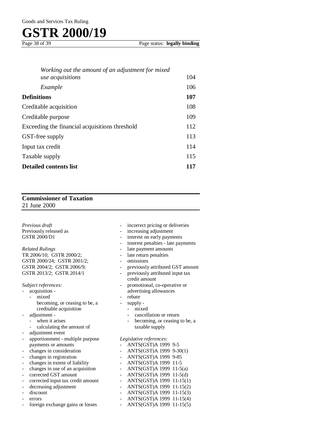Page 38 of 39 Page status: **legally binding**

| Working out the amount of an adjustment for mixed |     |
|---------------------------------------------------|-----|
| use acquisitions                                  | 104 |
| Example                                           | 106 |
| <b>Definitions</b>                                | 107 |
| Creditable acquisition                            | 108 |
| Creditable purpose                                | 109 |
| Exceeding the financial acquisitions threshold    | 112 |
| GST-free supply                                   | 113 |
| Input tax credit                                  | 114 |
| Taxable supply                                    |     |
| <b>Detailed contents list</b>                     |     |

#### **Commissioner of Taxation** 21 June 2000

*Previous draft*  Previously released as GSTR 2000/D1

*Related Rulings*  TR 2006/10; GSTR 2000/2; GSTR 2000/24; GSTR 2001/2; GSTR 2004/2; GSTR 2006/9; GSTR 2013/2; GSTR 2014/1

*Subject references:* 

- acquisition mixed
	- becoming, or ceasing to be, a creditable acquisition
- adjustment
	- when it arises
	- calculating the amount of
- adjustment event
- apportionment multiple purpose payments or amounts
- changes in consideration
- changes in registration
- changes in extent of liability
- changes in use of an acquisition
- corrected GST amount
- corrected input tax credit amount
- decreasing adjustment
- discount
- errors
- foreign exchange gains or losses
- incorrect pricing or deliveries
- increasing adjustment
- interest on early payments
- interest penalties late payments
- late payment amounts
- late return penalties
- omissions
- previously attributed GST amount
- previously attributed input tax credit amount
- promotional, co-operative or advertising allowances
- rebate
- supply
	- mixed
	- cancellation or return
	- becoming, or ceasing to be, a taxable supply

*Legislative references:* 

- ANTS(GST)A 1999 9-5
- ANTS(GST)A 1999 9-30(1)
- ANTS(GST)A 1999 9-85
- ANTS(GST)A 1999 11-5
- ANTS(GST)A 1999 11-5(a)
- ANTS(GST)A 1999 11-5(d)
- ANTS(GST)A 1999 11-15(1)
- ANTS(GST)A 1999 11-15(2) - ANTS(GST)A 1999 11-15(3)
- ANTS(GST)A 1999 11-15(4)
- ANTS(GST)A 1999 11-15(5)